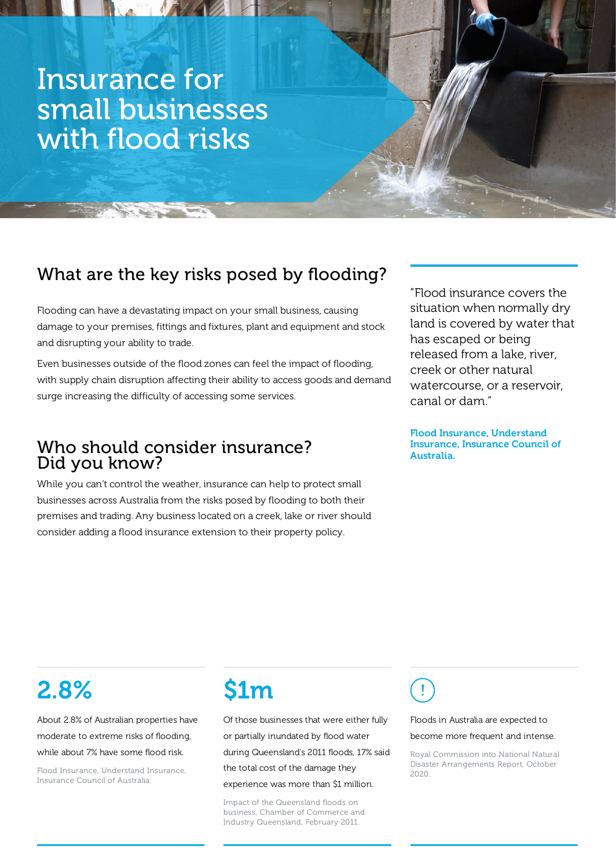## Insurance for small businesses with flood risks

## What are the key risks posed by flooding?

Flooding can have a devastating impact on your small business, causing damage to your premises, fittings and fixtures, plant and equipment and stock and disrupting your ability to trade.

Even businesses outside of the flood zones can feel the impact of flooding, with supply chain disruption affecting their ability to access goods and demand surge increasing the difficulty of accessing some services.

### Who should consider insurance? Did you know?

While you can't control the weather, insurance can help to protect small businesses across Australia from the risks posed by flooding to both their premises and trading. Any business located on a creek, lake or river should consider adding a flood insurance extension to their property policy.

"Flood insurance covers the situation when normally dry land is covered by water that has escaped or being released from a lake, river, creek or other natural watercourse, or a reservoir, canal or dam."

Flood Insurance, Understand Insurance, Insurance Council of Australia.

# 2.8%

About 2.8% of Australian properties have moderate to extreme risks of flooding, while about 7% have some flood risk.

Flood Insurance, Understand Insurance, Insurance Council of Australia.

# \$1m

Of those businesses that were either fully or partially inundated by flood water during Queensland's 2011 floods, 17% said the total cost of the damage they experience was more than \$1 million.

Impact of the Queensland floods on business, Chamber of Commerce and Industry Queensland, February 2011.

Floods in Australia are expected to

become more frequent and intense.

Royal Commission into National Natural Disaster Arrangements Report, October 2020.